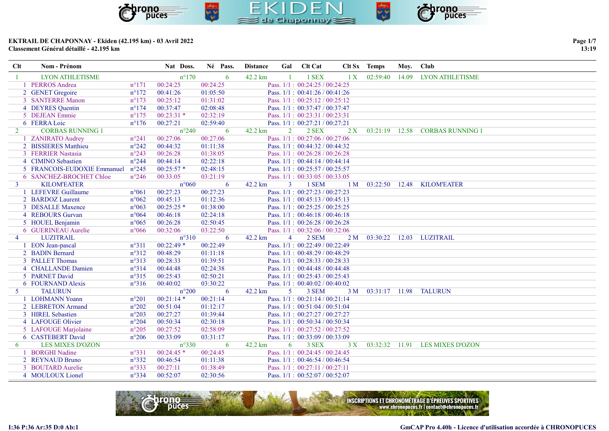

Clt Nom - Prénom 1983 Nat Doss. Né Pass. Distance Gal Clt Cat Clt Sx Temps Moy. Club

### EKTRAIL DE CHAPONNAY - Ekiden (42.195 km) - 03 Avril 2022 Classement Général détaillé - 42.195 km

| -1             | <b>LYON ATHLETISME</b>            |                | $n^{\circ}170$ | 6        | 42.2 km |                | 1 SEX                               | 1 X            |                |       | 02:59:40 14.09 LYON ATHLETISME |
|----------------|-----------------------------------|----------------|----------------|----------|---------|----------------|-------------------------------------|----------------|----------------|-------|--------------------------------|
|                | 1 PERROS Andrea                   | $n^{\circ}171$ | 00:24:25       | 00:24:25 |         |                | Pass. $1/1$ : $00:24:25 / 00:24:25$ |                |                |       |                                |
|                | 2 GENET Gregoire                  | $n^{\circ}172$ | 00:41:26       | 01:05:50 |         |                | Pass. $1/1$ : $00:41:26 / 00:41:26$ |                |                |       |                                |
|                | 3 SANTERRE Manon                  | $n^{\circ}173$ | 00:25:12       | 01:31:02 |         |                | Pass. $1/1$ : $00:25:12 / 00:25:12$ |                |                |       |                                |
|                | 4 DEYRES Quentin                  | $n^{\circ}174$ | 00:37:47       | 02:08:48 |         |                | Pass. 1/1: 00:37:47 / 00:37:47      |                |                |       |                                |
|                | 5 DEJEAN Emmie                    | $n^{\circ}175$ | $00:23:31*$    | 02:32:19 |         |                | Pass. $1/1$ : $00:23:31 / 00:23:31$ |                |                |       |                                |
|                | 6 FERRA Loic                      | $n^{\circ}176$ | 00:27:21       | 02:59:40 |         |                | Pass. 1/1: 00:27:21 / 00:27:21      |                |                |       |                                |
| 2              | <b>CORBAS RUNNING 1</b>           |                | $n^{\circ}240$ | 6        | 42.2 km | 2              | 2 SEX                               | 2X             | 03:21:19       | 12.58 | <b>CORBAS RUNNING 1</b>        |
|                | 1 ZANIRATO Audrey                 | $n^{\circ}241$ | 00:27:06       | 00:27:06 |         |                | Pass. 1/1: 00:27:06 / 00:27:06      |                |                |       |                                |
|                | 2 BISSIERES Matthieu              | $n^{\circ}242$ | 00:44:32       | 01:11:38 |         |                | Pass. 1/1: 00:44:32 / 00:44:32      |                |                |       |                                |
|                | 3 FERRIER Nastasia                | $n^{\circ}243$ | 00:26:28       | 01:38:05 |         |                | Pass. $1/1$ : $00:26:28 / 00:26:28$ |                |                |       |                                |
|                | 4 CIMINO Sebastien                | $n^{\circ}244$ | 00:44:14       | 02:22:18 |         |                | Pass. 1/1: 00:44:14 / 00:44:14      |                |                |       |                                |
|                | 5 FRANCOIS-EUDOXIE Emmanuel n°245 |                | $00:25:57*$    | 02:48:15 |         |                | Pass. $1/1$ : $00:25:57 / 00:25:57$ |                |                |       |                                |
|                | 6 SANCHEZ-BROCHET Chloe           | $n^{\circ}246$ | 00:33:05       | 03:21:19 |         |                | Pass. 1/1: 00:33:05 / 00:33:05      |                |                |       |                                |
| $\overline{3}$ | <b>KILOM'EATER</b>                |                | $n^{\circ}060$ | 6        | 42.2 km | $\mathbf{3}$   | 1 SEM                               | 1 <sub>M</sub> | 03:22:50       | 12.48 | <b>KILOM'EATER</b>             |
|                | 1 LEFEVRE Guillaume               | $n^{\circ}061$ | 00:27:23       | 00:27:23 |         |                | Pass. 1/1: 00:27:23 / 00:27:23      |                |                |       |                                |
|                | 2 BARDOZ Laurent                  | $n^{\circ}062$ | 00:45:13       | 01:12:36 |         |                | Pass. $1/1$ : $00:45:13 / 00:45:13$ |                |                |       |                                |
|                | 3 DESALLE Maxence                 | $n^{\circ}063$ | $00:25:25*$    | 01:38:00 |         |                | Pass. $1/1$ : $00:25:25 / 00:25:25$ |                |                |       |                                |
|                | 4 REBOURS Gurvan                  | $n^{\circ}064$ | 00:46:18       | 02:24:18 |         |                | Pass. $1/1$ : 00:46:18 / 00:46:18   |                |                |       |                                |
|                | 5 HOUEL Benjamin                  | $n^{\circ}065$ | 00:26:28       | 02:50:45 |         |                | Pass. 1/1: 00:26:28 / 00:26:28      |                |                |       |                                |
|                | 6 GUERINEAU Aurelie               | $n^{\circ}066$ | 00:32:06       | 03:22:50 |         |                | Pass. 1/1: 00:32:06 / 00:32:06      |                |                |       |                                |
| $\overline{4}$ | <b>LUZITRAIL</b>                  |                | $n^{\circ}310$ | 6        | 42.2 km | $\overline{4}$ | 2 SEM                               | 2 <sub>M</sub> | 03:30:22       | 12.03 | LUZITRAIL                      |
|                | 1 EON Jean-pascal                 | $n^{\circ}311$ | $00:22:49*$    | 00:22:49 |         |                | Pass. $1/1$ : $00:22:49 / 00:22:49$ |                |                |       |                                |
|                | 2 BADIN Bernard                   | $n^{\circ}312$ | 00:48:29       | 01:11:18 |         |                | Pass. $1/1$ : $00:48:29 / 00:48:29$ |                |                |       |                                |
|                | 3 PALLET Thomas                   | n°313          | 00:28:33       | 01:39:51 |         |                | Pass. 1/1: 00:28:33 / 00:28:33      |                |                |       |                                |
|                | 4 CHALLANDE Damien                | n°314          | 00:44:48       | 02:24:38 |         |                | Pass. $1/1$ : 00:44:48 / 00:44:48   |                |                |       |                                |
|                | 5 PARNET David                    | $n^{\circ}315$ | 00:25:43       | 02:50:21 |         |                | Pass. 1/1: 00:25:43 / 00:25:43      |                |                |       |                                |
|                | 6 FOURNAND Alexis                 | $n^{\circ}316$ | 00:40:02       | 03:30:22 |         |                | Pass. $1/1$ : $00:40:02 / 00:40:02$ |                |                |       |                                |
| 5 <sup>5</sup> | <b>TALURUN</b>                    |                | $n^{\circ}200$ | 6        | 42.2 km | $\mathfrak{H}$ | 3 SEM                               | 3 M            | 03:31:17 11.98 |       | <b>TALURUN</b>                 |
|                | 1 LOHMANN Yoann                   | $n^{\circ}201$ | $00:21:14*$    | 00:21:14 |         |                | Pass. $1/1$ : $00:21:14 / 00:21:14$ |                |                |       |                                |
|                | 2 LEBRETON Armand                 | $n^{\circ}202$ | 00:51:04       | 01:12:17 |         |                | Pass. $1/1$ : $00:51:04 / 00:51:04$ |                |                |       |                                |
|                | 3 HIREL Sebastien                 | $n^{\circ}203$ | 00:27:27       | 01:39:44 |         |                | Pass. 1/1: 00:27:27 / 00:27:27      |                |                |       |                                |
|                | 4 LAFOUGE Olivier                 | $n^{\circ}204$ | 00:50:34       | 02:30:18 |         |                | Pass. 1/1: 00:50:34 / 00:50:34      |                |                |       |                                |
|                | 5 LAFOUGE Marjolaine              | $n^{\circ}205$ | 00:27:52       | 02:58:09 |         |                | Pass. 1/1: 00:27:52 / 00:27:52      |                |                |       |                                |
|                | 6 CASTEBERT David                 | $n^{\circ}206$ | 00:33:09       | 03:31:17 |         |                | Pass. $1/1$ : $00:33:09 / 00:33:09$ |                |                |       |                                |
| 6              | <b>LES MIXES D'OZON</b>           |                | $n^{\circ}330$ | 6        | 42.2 km | 6              | 3 SEX                               | 3X             | 03:32:32 11.91 |       | <b>LES MIXES D'OZON</b>        |
|                | 1 BORGHI Nadine                   | $n^{\circ}331$ | $00:24:45*$    | 00:24:45 |         |                | Pass. $1/1$ : $00:24:45 / 00:24:45$ |                |                |       |                                |
|                | 2 REYNAUD Bruno                   | $n^{\circ}332$ | 00:46:54       | 01:11:38 |         |                | Pass. $1/1$ : 00:46:54 / 00:46:54   |                |                |       |                                |
|                | 3 BOUTARD Aurelie                 | n°333          | 00:27:11       | 01:38:49 |         |                | Pass. 1/1: 00:27:11 / 00:27:11      |                |                |       |                                |
|                | 4 MOULOUX Lionel                  | $n^{\circ}334$ | 00:52:07       | 02:30:56 |         |                | Pass. $1/1: 00:52:07 / 00:52:07$    |                |                |       |                                |



Page 1/7  $13:19$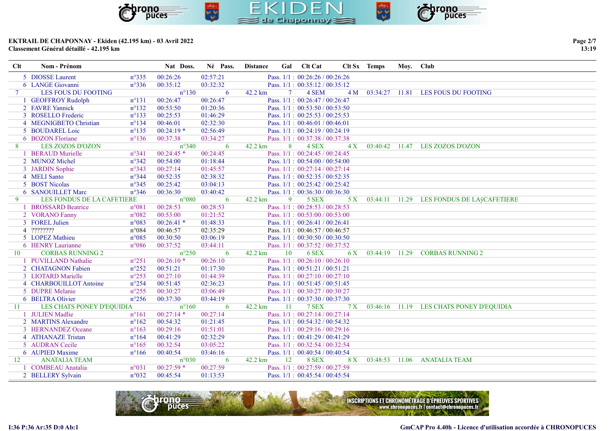

| Clt            | <b>Nom - Prénom</b>        |                 | Nat Doss.      | Né Pass. | <b>Distance</b> |        | Gal Clt Cat                         |     | Clt Sx Temps | Mov. Club |                                           |
|----------------|----------------------------|-----------------|----------------|----------|-----------------|--------|-------------------------------------|-----|--------------|-----------|-------------------------------------------|
|                | 5 DIOSSE Laurent           | $n^{\circ}335$  | 00:26:26       | 02:57:21 |                 |        | Pass. 1/1: 00:26:26 / 00:26:26      |     |              |           |                                           |
|                | 6 LANGE Giovanni           | $n^{\circ}336$  | 00:35:12       | 03:32:32 |                 |        | Pass. $1/1$ : $00:35:12 / 00:35:12$ |     |              |           |                                           |
| 7 <sup>7</sup> | LES FOUS DU FOOTING        |                 | $n^{\circ}130$ | 6        | 42.2 km         | $\tau$ | 4 SEM                               | 4M  | 03:34:27     | 11.81     | LES FOUS DU FOOTING                       |
|                | 1 GEOFFROY Rudolph         | $n^{\circ}131$  | 00:26:47       | 00:26:47 |                 |        | Pass. $1/1$ : $00:26:47/00:26:47$   |     |              |           |                                           |
|                | 2 FAVRE Yannick            | $n^{\circ}132$  | 00:53:50       | 01:20:36 |                 |        | Pass. $1/1$ : $00:53:50 / 00:53:50$ |     |              |           |                                           |
|                | 3 ROSELLO Frederic         | $n^{\circ}133$  | 00:25:53       | 01:46:29 |                 |        | Pass. $1/1$ : 00:25:53 / 00:25:53   |     |              |           |                                           |
|                | 4 MEGNIGBETO Christian     | $n^{\circ}$ 134 | 00:46:01       | 02:32:30 |                 |        | Pass. $1/1$ : $00:46:01 / 00:46:01$ |     |              |           |                                           |
|                | 5 BOUDAREL Loic            | $n^{\circ}$ 135 | $00:24:19*$    | 02:56:49 |                 |        | Pass. $1/1$ : $00:24:19 / 00:24:19$ |     |              |           |                                           |
|                | 6 BOZON Floriane           | $n^{\circ}136$  | 00:37:38       | 03:34:27 |                 |        | Pass. 1/1: 00:37:38 / 00:37:38      |     |              |           |                                           |
| 8              | <b>LES ZOZOS D'OZON</b>    |                 | $n^{\circ}340$ | 6        | 42.2 km         | 8      | 4 SEX                               | 4X  | 03:40:42     | 11.47     | LES ZOZOS D'OZON                          |
|                | 1 BERAUD Murielle          | $n^{\circ}341$  | $00:24:45*$    | 00:24:45 |                 |        | Pass. $1/1$ : $00:24:45 / 00:24:45$ |     |              |           |                                           |
|                | 2 MUNOZ Michel             | $n^{\circ}342$  | 00:54:00       | 01:18:44 |                 |        | Pass. $1/1$ : $00:54:00 / 00:54:00$ |     |              |           |                                           |
|                | 3 JARDIN Sophie            | $n^{\circ}343$  | 00:27:14       | 01:45:57 |                 |        | Pass. $1/1$ : $00:27:14/00:27:14$   |     |              |           |                                           |
|                | 4 MELI Santo               | $n^{\circ}344$  | 00:52:35       | 02:38:32 |                 |        | Pass. $1/1$ : $00:52:35 / 00:52:35$ |     |              |           |                                           |
|                | 5 BOST Nicolas             | $n^{\circ}345$  | 00:25:42       | 03:04:13 |                 |        | Pass. $1/1$ : $00:25:42 / 00:25:42$ |     |              |           |                                           |
|                | 6 SANOUILLET Marc          | $n^{\circ}346$  | 00:36:30       | 03:40:42 |                 |        | Pass. $1/1$ : $00:36:30 / 00:36:30$ |     |              |           |                                           |
| 9              | LES FONDUS DE LA CAFETIERE |                 | $n^{\circ}080$ | 6        | 42.2 km         | 9      | 5 SEX                               | 5 X |              |           | 03:44:11 11.29 LES FONDUS DE LAÿCAFETIERE |
|                | 1 BROSSARD Beatrice        | $n^{\circ}081$  | 00:28:53       | 00:28:53 |                 |        | Pass. $1/1$ : $00:28:53 / 00:28:53$ |     |              |           |                                           |
|                | 2 VORANO Fanny             | $n^{\circ}082$  | 00:53:00       | 01:21:52 |                 |        | Pass. $1/1$ : $00:53:00 / 00:53:00$ |     |              |           |                                           |
|                | 3 FOREL Julien             | $n^{\circ}083$  | $00:26:41$ *   | 01:48:33 |                 |        | Pass. $1/1$ : 00:26:41 / 00:26:41   |     |              |           |                                           |
|                | 4 ????????                 | $n^{\circ}084$  | 00:46:57       | 02:35:29 |                 |        | Pass. $1/1: 00:46:57 / 00:46:57$    |     |              |           |                                           |
|                | 5 LOPEZ Mathieu            | $n^{\circ}085$  | 00:30:50       | 03:06:19 |                 |        | Pass. $1/1$ : $00:30:50 / 00:30:50$ |     |              |           |                                           |
|                | 6 HENRY Laurianne          | $n^{\circ}086$  | 00:37:52       | 03:44:11 |                 |        | Pass. 1/1: 00:37:52 / 00:37:52      |     |              |           |                                           |
| 10             | <b>CORBAS RUNNING 2</b>    |                 | $n^{\circ}250$ | 6        | 42.2 km         | 10     | 6 SEX                               | 6 X | 03:44:19     | 11.29     | <b>CORBAS RUNNING 2</b>                   |
|                | 1 PUVILLAND Nathalie       | $n^{\circ}251$  | $00:26:10*$    | 00:26:10 |                 |        | Pass. $1/1$ : $00:26:10/00:26:10$   |     |              |           |                                           |
|                | 2 CHATAGNON Fabien         | $n^{\circ}252$  | 00:51:21       | 01:17:30 |                 |        | Pass. $1/1$ : $00:51:21 / 00:51:21$ |     |              |           |                                           |
|                | 3 LIOTARD Marielle         | $n^{\circ}253$  | 00:27:10       | 01:44:39 |                 |        | Pass. 1/1: 00:27:10 / 00:27:10      |     |              |           |                                           |
|                | 4 CHARBOUILLOT Antoine     | $n^{\circ}254$  | 00:51:45       | 02:36:23 |                 |        | Pass. $1/1$ : $00:51:45 / 00:51:45$ |     |              |           |                                           |
|                | 5 DUPRE Melanie            | $n^{\circ}255$  | 00:30:27       | 03:06:49 |                 |        | Pass. $1/1$ : $00:30:27 / 00:30:27$ |     |              |           |                                           |
|                | 6 BELTRA Olivier           | $n^{\circ}256$  | 00:37:30       | 03:44:19 |                 |        | Pass. $1/1$ : $00:37:30 / 00:37:30$ |     |              |           |                                           |
| 11             | LES CHATS PONEY D'EQUIDIA  |                 | $n^{\circ}160$ | 6        | 42.2 km         | 11     | 7 SEX                               | 7X  |              |           | 03:46:16 11.19 LES CHATS PONEY D'EQUIDIA  |
|                | 1 JULIEN Madlie            | $n^{\circ}161$  | $00:27:14*$    | 00:27:14 |                 |        | Pass. $1/1$ : $00:27:14/00:27:14$   |     |              |           |                                           |
|                | 2 MARTINS Alexandre        | $n^{\circ}162$  | 00:54:32       | 01:21:45 |                 |        | Pass. $1/1$ : $00:54:32 / 00:54:32$ |     |              |           |                                           |



Page 2/7 13:19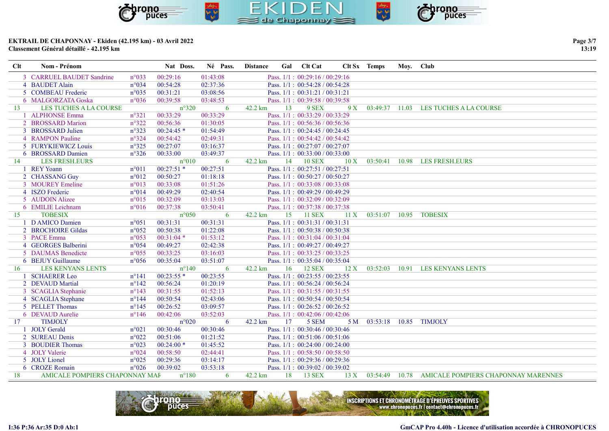

| Clt | Nom - Prénom              |                | Nat Doss.      | Né Pass. | <b>Distance</b>   | Gal | <b>Clt Cat</b>                    | Clt Sx | <b>Temps</b>   | Mov. | <b>Club</b>            |
|-----|---------------------------|----------------|----------------|----------|-------------------|-----|-----------------------------------|--------|----------------|------|------------------------|
|     | 3 CARRUEL BAUDET Sandrine | $n^{\circ}033$ | 00:29:16       | 01:43:08 |                   |     | Pass. $1/1$ : 00:29:16 / 00:29:16 |        |                |      |                        |
|     | 4 BAUDET Alain            | $n^{\circ}034$ | 00:54:28       | 02:37:36 |                   |     | Pass. $1/1$ : 00:54:28 / 00:54:28 |        |                |      |                        |
|     | 5 COMBEAU Frederic        | $n^{\circ}035$ | 00:31:21       | 03:08:56 |                   |     | Pass. $1/1$ : $00:31:21/00:31:21$ |        |                |      |                        |
|     | 6 MALGORZATA Goska        | $n^{\circ}036$ | 00:39:58       | 03:48:53 |                   |     | Pass, $1/1: 00:39:58 / 00:39:58$  |        |                |      |                        |
|     | LES TUCHES A LA COURSE    |                | $n^{\circ}320$ |          | $42.2 \text{ km}$ | 13. | 9 SEX                             | 9X     | 03:49:37 11.03 |      | LES TUCHES A LA COURSE |
|     | _______________           |                |                | .        |                   |     |                                   |        |                |      |                        |

|     | 3 CARRUEL BAUDET Sandrine      | $n^{\circ}033$  | 00:29:16       | 01:43:08 |                   |    | Pass. $1/1$ : $00:29:16 / 00:29:16$ |      |                        |       |                                                    |
|-----|--------------------------------|-----------------|----------------|----------|-------------------|----|-------------------------------------|------|------------------------|-------|----------------------------------------------------|
|     | 4 BAUDET Alain                 | n°034           | 00:54:28       | 02:37:36 |                   |    | Pass. 1/1: 00:54:28 / 00:54:28      |      |                        |       |                                                    |
|     | 5 COMBEAU Frederic             | $n^{\circ}035$  | 00:31:21       | 03:08:56 |                   |    | Pass. 1/1: 00:31:21 / 00:31:21      |      |                        |       |                                                    |
|     | 6 MALGORZATA Goska             | $n^{\circ}036$  | 00:39:58       | 03:48:53 |                   |    | Pass. $1/1$ : $00:39:58 / 00:39:58$ |      |                        |       |                                                    |
| 13  | <b>LES TUCHES A LA COURSE</b>  |                 | $n^{\circ}320$ | 6        | 42.2 km           | 13 | 9 SEX                               | 9X   | 03:49:37 11.03         |       | LES TUCHES A LA COURSE                             |
|     | 1 ALPHONSE Emma                | $n^{\circ}321$  | 00:33:29       | 00:33:29 |                   |    | Pass. 1/1: 00:33:29 / 00:33:29      |      |                        |       |                                                    |
|     | 2 BROSSARD Marion              | $n^{\circ}322$  | 00:56:36       | 01:30:05 |                   |    | Pass. $1/1$ : 00:56:36 / 00:56:36   |      |                        |       |                                                    |
|     | 3 BROSSARD Julien              | $n^{\circ}323$  | $00:24:45*$    | 01:54:49 |                   |    | Pass. $1/1$ : $00:24:45 / 00:24:45$ |      |                        |       |                                                    |
|     | 4 RAMPON Pauline               | $n^{\circ}324$  | 00:54:42       | 02:49:31 |                   |    | Pass. 1/1: 00:54:42 / 00:54:42      |      |                        |       |                                                    |
|     | 5 FURYKIEWICZ Louis            | $n^{\circ}325$  | 00:27:07       | 03:16:37 |                   |    | Pass. 1/1: 00:27:07 / 00:27:07      |      |                        |       |                                                    |
|     | 6 BROSSARD Damien              | $n^{\circ}326$  | 00:33:00       | 03:49:37 |                   |    | Pass. $1/1$ : $00:33:00 / 00:33:00$ |      |                        |       |                                                    |
| 14  | <b>LES FRESH.EURS</b>          |                 | $n^{\circ}010$ | 6        | 42.2 km           | 14 | <b>10 SEX</b>                       | 10X  | 03:50:41               | 10.98 | <b>LES FRESH.EURS</b>                              |
|     | 1 REY Yoann                    | $n^{\circ}011$  | $00:27:51$ *   | 00:27:51 |                   |    | Pass. $1/1$ : $00:27:51 / 00:27:51$ |      |                        |       |                                                    |
|     | 2 CHASSANG Guy                 | $n^{\circ}012$  | 00:50:27       | 01:18:18 |                   |    | Pass. 1/1: 00:50:27 / 00:50:27      |      |                        |       |                                                    |
|     | 3 MOUREY Emeline               | $n^{\circ}013$  | 00:33:08       | 01:51:26 |                   |    | Pass. $1/1$ : $00:33:08 / 00:33:08$ |      |                        |       |                                                    |
|     | 4 ISZO Frederic                | $n^{\circ}014$  | 00:49:29       | 02:40:54 |                   |    | Pass. 1/1: 00:49:29 / 00:49:29      |      |                        |       |                                                    |
|     | 5 AUDOIN Alizee                | $n^{\circ}015$  | 00:32:09       | 03:13:03 |                   |    | Pass. 1/1: 00:32:09 / 00:32:09      |      |                        |       |                                                    |
|     | 6 EMILIE Leichnam              | $n^{\circ}016$  | 00:37:38       | 03:50:41 |                   |    | Pass. $1/1: 00:37:38 / 00:37:38$    |      |                        |       |                                                    |
| 15  | <b>TOBESIX</b>                 |                 | $n^{\circ}050$ | 6        | $42.2 \text{ km}$ | 15 | <b>11 SEX</b>                       | 11 X | 03:51:07 10.95 TOBESIX |       |                                                    |
|     | 1 D AMICO Damien               | $n^{\circ}051$  | 00:31:31       | 00:31:31 |                   |    | Pass. 1/1: 00:31:31 / 00:31:31      |      |                        |       |                                                    |
|     | 2 BROCHOIRE Gildas             | $n^{\circ}052$  | 00:50:38       | 01:22:08 |                   |    | Pass. $1/1$ : 00:50:38 / 00:50:38   |      |                        |       |                                                    |
|     | 3 PACE Emma                    | $n^{\circ}053$  | $00:31:04$ *   | 01:53:12 |                   |    | Pass. $1/1$ : $00:31:04 / 00:31:04$ |      |                        |       |                                                    |
|     | 4 GEORGES Balberini            | $n^{\circ}054$  | 00:49:27       | 02:42:38 |                   |    | Pass. $1/1$ : $00:49:27 / 00:49:27$ |      |                        |       |                                                    |
|     | 5 DAUMAS Benedicte             | $n^{\circ}055$  | 00:33:25       | 03:16:03 |                   |    | Pass. 1/1: 00:33:25 / 00:33:25      |      |                        |       |                                                    |
|     | 6 BEJUY Guillaume              | $n^{\circ}056$  | 00:35:04       | 03:51:07 |                   |    | Pass. $1/1$ : $00:35:04 / 00:35:04$ |      |                        |       |                                                    |
| 16  | <b>LES KENYANS LENTS</b>       |                 | $n^{\circ}140$ | 6        | 42.2 km           | 16 | 12 SEX                              | 12 X | 03:52:03               |       | 10.91 LES KENYANS LENTS                            |
|     | 1 SCHAERER Leo                 | $n^{\circ}141$  | $00:23:55*$    | 00:23:55 |                   |    | Pass. 1/1: 00:23:55 / 00:23:55      |      |                        |       |                                                    |
|     | 2 DEVAUD Martial               | $n^{\circ}142$  | 00:56:24       | 01:20:19 |                   |    | Pass. 1/1: 00:56:24 / 00:56:24      |      |                        |       |                                                    |
|     | 3 SCAGLIA Stephanie            | $n^{\circ}143$  | 00:31:55       | 01:52:13 |                   |    | Pass. $1/1$ : $00:31:55 / 00:31:55$ |      |                        |       |                                                    |
|     | 4 SCAGLIA Stephane             | $n^{\circ}$ 144 | 00:50:54       | 02:43:06 |                   |    | Pass. $1/1$ : $00:50:54 / 00:50:54$ |      |                        |       |                                                    |
|     | 5 PELLET Thomas                | $n^{\circ}145$  | 00:26:52       | 03:09:57 |                   |    | Pass. $1/1$ : $00:26:52 / 00:26:52$ |      |                        |       |                                                    |
|     | 6 DEVAUD Aurelie               | $n^{\circ}$ 146 | 00:42:06       | 03:52:03 |                   |    | Pass. $1/1$ : $00:42:06 / 00:42:06$ |      |                        |       |                                                    |
| 17  | <b>TIMJOLY</b>                 |                 | $n^{\circ}020$ | 6        | 42.2 km           | 17 | 5 SEM                               | 5 M  | 03:53:18               |       | 10.85 TIMJOLY                                      |
|     | 1 JOLY Gerald                  | $n^{\circ}021$  | 00:30:46       | 00:30:46 |                   |    | Pass. 1/1: 00:30:46 / 00:30:46      |      |                        |       |                                                    |
|     | 2 SUREAU Denis                 | $n^{\circ}022$  | 00:51:06       | 01:21:52 |                   |    | Pass. $1/1$ : $00:51:06 / 00:51:06$ |      |                        |       |                                                    |
|     | 3 BOUDIER Thomas               | $n^{\circ}023$  | $00:24:00*$    | 01:45:52 |                   |    | Pass. $1/1$ : $00:24:00 / 00:24:00$ |      |                        |       |                                                    |
|     | 4 JOLY Valerie                 | $n^{\circ}024$  | 00:58:50       | 02:44:41 |                   |    | Pass. 1/1: 00:58:50 / 00:58:50      |      |                        |       |                                                    |
|     | 5 JOLY Lionel                  | $n^{\circ}025$  | 00:29:36       | 03:14:17 |                   |    | Pass. $1/1$ : 00:29:36 / 00:29:36   |      |                        |       |                                                    |
|     | 6 CROZE Romain                 | $n^{\circ}026$  | 00:39:02       | 03:53:18 |                   |    | Pass. $1/1: 00:39:02 / 00:39:02$    |      |                        |       |                                                    |
| -18 | AMICALE POMPIERS CHAPONNAY MAF |                 | $n^{\circ}180$ | -6       | 42.2 km           |    | 18 13 SEX                           | 13X  |                        |       | 03:54:49 10.78 AMICALE POMPIERS CHAPONNAY MARENNES |

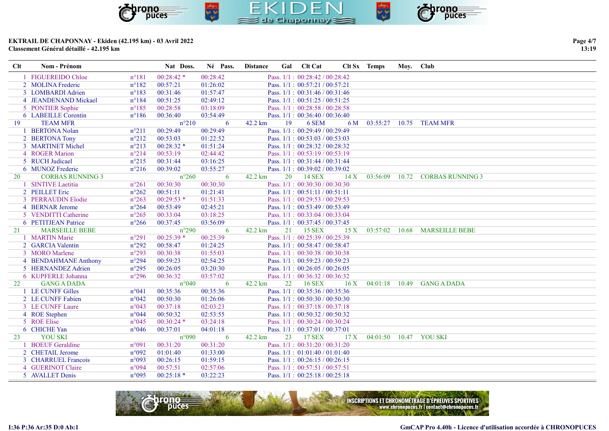

| Page 4/7 |  |
|----------|--|
| 13:19    |  |

| Clt | Nom - Prénom            |                | Nat Doss.      | Né Pass. | <b>Distance</b> |    | Gal Clt Cat                         |     | Clt Sx Temps             | Moy. Club |                            |
|-----|-------------------------|----------------|----------------|----------|-----------------|----|-------------------------------------|-----|--------------------------|-----------|----------------------------|
|     | 1 FIGUEREIDO Chloe      | $n^{\circ}181$ | $00:28:42*$    | 00:28:42 |                 |    | Pass. $1/1$ : $00:28:42 / 00:28:42$ |     |                          |           |                            |
|     | 2 MOLINA Frederic       | $n^{\circ}182$ | 00:57:21       | 01:26:02 |                 |    | Pass. 1/1: 00:57:21 / 00:57:21      |     |                          |           |                            |
|     | 3 LOMBARDI Adrien       | $n^{\circ}183$ | 00:31:46       | 01:57:47 |                 |    | Pass. $1/1$ : $00:31:46 / 00:31:46$ |     |                          |           |                            |
|     | 4 JEANDENAND Mickael    | $n^{\circ}184$ | 00:51:25       | 02:49:12 |                 |    | Pass. 1/1: 00:51:25 / 00:51:25      |     |                          |           |                            |
|     | 5 PONTIER Sophie        | $n^{\circ}185$ | 00:28:58       | 03:18:09 |                 |    | Pass. 1/1: 00:28:58 / 00:28:58      |     |                          |           |                            |
|     | 6 LABEILLE Corentin     | $n^{\circ}186$ | 00:36:40       | 03:54:49 |                 |    | Pass. $1/1$ : 00:36:40 / 00:36:40   |     |                          |           |                            |
| 19  | <b>TEAM MFR</b>         |                | $n^{\circ}210$ | 6        | 42.2 km         | 19 | 6 SEM                               | 6 M | 03:55:27                 |           | 10.75 TEAM MFR             |
|     | 1 BERTONA Nolan         | $n^{\circ}211$ | 00:29:49       | 00:29:49 |                 |    | Pass. 1/1: 00:29:49 / 00:29:49      |     |                          |           |                            |
|     | 2 BERTONA Tony          | $n^{\circ}212$ | 00:53:03       | 01:22:52 |                 |    | Pass. 1/1: 00:53:03 / 00:53:03      |     |                          |           |                            |
|     | 3 MARTINET Michel       | $n^{\circ}213$ | $00:28:32*$    | 01:51:24 |                 |    | Pass. $1/1: 00:28:32 / 00:28:32$    |     |                          |           |                            |
|     | 4 ROGER Marion          | $n^{\circ}214$ | 00:53:19       | 02:44:42 |                 |    | Pass. 1/1: 00:53:19 / 00:53:19      |     |                          |           |                            |
|     | 5 RUCH Judicael         | $n^{\circ}215$ | 00:31:44       | 03:16:25 |                 |    | Pass. 1/1: 00:31:44 / 00:31:44      |     |                          |           |                            |
|     | 6 MUNOZ Frederic        | $n^{\circ}216$ | 00:39:02       | 03:55:27 |                 |    | Pass. $1/1$ : $00:39:02 / 00:39:02$ |     |                          |           |                            |
| 20  | <b>CORBAS RUNNING 3</b> |                | $n^{\circ}260$ | 6        | 42.2 km         | 20 | <b>14 SEX</b>                       | 14X | 03:56:09 10.72           |           | <b>CORBAS RUNNING 3</b>    |
|     | 1 SINTIVE Laetitia      | $n^{\circ}261$ | 00:30:30       | 00:30:30 |                 |    | Pass. 1/1: 00:30:30 / 00:30:30      |     |                          |           |                            |
|     | 2 PEILLET Eric          | $n^{\circ}262$ | 00:51:11       | 01:21:41 |                 |    | Pass. 1/1: 00:51:11 / 00:51:11      |     |                          |           |                            |
|     | 3 PERRAUDIN Elodie      | $n^{\circ}263$ | $00:29:53*$    | 01:51:33 |                 |    | Pass. 1/1: 00:29:53 / 00:29:53      |     |                          |           |                            |
|     | 4 BERNAR Jerome         | $n^{\circ}264$ | 00:53:49       | 02:45:21 |                 |    | Pass. 1/1: 00:53:49 / 00:53:49      |     |                          |           |                            |
|     | 5 VENDITTI Catherine    | $n^{\circ}265$ | 00:33:04       | 03:18:25 |                 |    | Pass. 1/1: 00:33:04 / 00:33:04      |     |                          |           |                            |
|     | 6 PETITJEAN Patrice     | $n^{\circ}266$ | 00:37:45       | 03:56:09 |                 |    | Pass. $1/1$ : $00:37:45 / 00:37:45$ |     |                          |           |                            |
| 21  | <b>MARSEILLE BEBE</b>   |                | $n^{\circ}290$ | 6        | 42.2 km         | 21 | <b>15 SEX</b>                       | 15X | 03:57:02                 |           | 10.68 MARSEILLE BEBE       |
|     | 1 MARTIN Marie          | $n^{\circ}291$ | $00:25:39*$    | 00:25:39 |                 |    | Pass. $1/1$ : $00:25:39 / 00:25:39$ |     |                          |           |                            |
|     | 2 GARCIA Valentin       | $n^{\circ}292$ | 00:58:47       | 01:24:25 |                 |    | Pass. 1/1: 00:58:47 / 00:58:47      |     |                          |           |                            |
|     | 3 MORO Marlene          | $n^{\circ}293$ | 00:30:38       | 01:55:03 |                 |    | Pass. 1/1: 00:30:38 / 00:30:38      |     |                          |           |                            |
|     | 4 BENDAHMANE Anthony    | $n^{\circ}294$ | 00:59:23       | 02:54:25 |                 |    | Pass. 1/1: 00:59:23 / 00:59:23      |     |                          |           |                            |
|     | 5 HERNANDEZ Adrien      | $n^{\circ}295$ | 00:26:05       | 03:20:30 |                 |    | Pass. 1/1: 00:26:05 / 00:26:05      |     |                          |           |                            |
|     | 6 KUPFERLE Johanna      | $n^{\circ}296$ | 00:36:32       | 03:57:02 |                 |    | Pass. $1/1$ : $00:36:32 / 00:36:32$ |     |                          |           |                            |
| 22  | <b>GANG A DADA</b>      |                | $n^{\circ}040$ | 6        | 42.2 km         | 22 | <b>16 SEX</b>                       | 16X |                          |           | 04:01:18 10.49 GANG A DADA |
|     | 1 LE CUNFF Gilles       | $n^{\circ}041$ | 00:35:36       | 00:35:36 |                 |    | Pass. 1/1: 00:35:36 / 00:35:36      |     |                          |           |                            |
|     | 2 LE CUNFF Fabien       | $n^{\circ}042$ | 00:50:30       | 01:26:06 |                 |    | Pass. 1/1: 00:50:30 / 00:50:30      |     |                          |           |                            |
|     | 3 LE CUNFF Laure        | $n^{\circ}043$ | 00:37:18       | 02:03:23 |                 |    | Pass. 1/1: 00:37:18 / 00:37:18      |     |                          |           |                            |
|     | 4 ROE Stephen           | $n^{\circ}044$ | 00:50:32       | 02:53:55 |                 |    | Pass. 1/1: 00:50:32 / 00:50:32      |     |                          |           |                            |
|     | 5 ROE Elise             | $n^{\circ}045$ | $00:30:24*$    | 03:24:18 |                 |    | Pass. 1/1: 00:30:24 / 00:30:24      |     |                          |           |                            |
|     | 6 CHICHE Yan            | $n^{\circ}046$ | 00:37:01       | 04:01:18 |                 |    | Pass. 1/1: 00:37:01 / 00:37:01      |     |                          |           |                            |
| 23  | <b>YOU SKI</b>          |                | $n^{\circ}090$ | 6        | 42.2 km         | 23 | <b>17 SEX</b>                       | 17X | 04:01:50  10.47  YOU SKI |           |                            |
|     | 1 BOEUF Geraldine       | $n^{\circ}091$ | 00:31:20       | 00:31:20 |                 |    | Pass. 1/1: 00:31:20 / 00:31:20      |     |                          |           |                            |
|     | 2 CHETAIL Jerome        | n°092          | 01:01:40       | 01:33:00 |                 |    | Pass. $1/1$ : $01:01:40 / 01:01:40$ |     |                          |           |                            |
|     | 3 CHARRUEL Francois     | $n^{\circ}093$ | 00:26:15       | 01:59:15 |                 |    | Pass. $1/1$ : $00:26:15 / 00:26:15$ |     |                          |           |                            |
|     | 4 GUERINOT Claire       | n°094          | 00:57:51       | 02:57:06 |                 |    | Pass. 1/1: 00:57:51 / 00:57:51      |     |                          |           |                            |
|     | 5 AVALLET Denis         | $n^{\circ}095$ | $00:25:18*$    | 03:22:23 |                 |    | Pass. 1/1: 00:25:18 / 00:25:18      |     |                          |           |                            |

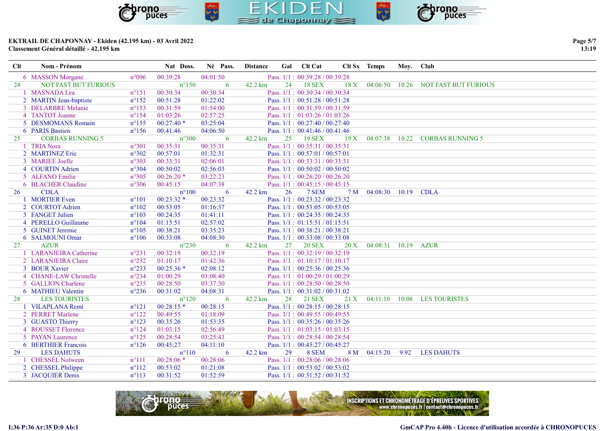

| Page 5/7 |
|----------|
| 13:19    |

| Clt | Nom - Prénom                |                | Nat Doss.      | Né Pass. | <b>Distance</b> | Gal | <b>Clt Cat</b>                      |      | Clt Sx Temps        | Moy. Club |                                     |
|-----|-----------------------------|----------------|----------------|----------|-----------------|-----|-------------------------------------|------|---------------------|-----------|-------------------------------------|
|     | 6 MASSON Morgane            | $n^{\circ}096$ | 00:39:28       | 04:01:50 |                 |     | Pass. $1/1$ : $00:39:28 / 00:39:28$ |      |                     |           |                                     |
| 24  | <b>NOT FAST BUT FURIOUS</b> |                | $n^{\circ}150$ | -6       | 42.2 km         | 24  | <b>18 SEX</b>                       | 18X  |                     |           | 04:06:50 10.26 NOT FAST BUT FURIOUS |
|     | 1 MASNADA Lea               | $n^{\circ}151$ | 00:30:34       | 00:30:34 |                 |     | Pass. $1/1$ : $00:30:34 / 00:30:34$ |      |                     |           |                                     |
|     | 2 MARTIN Jean-baptiste      | $n^{\circ}152$ | 00:51:28       | 01:22:02 |                 |     | Pass. 1/1: 00:51:28 / 00:51:28      |      |                     |           |                                     |
|     | 3 DELARBRE Melanie          | $n^{\circ}153$ | 00:31:59       | 01:54:00 |                 |     | Pass. $1/1$ : $00:31:59 / 00:31:59$ |      |                     |           |                                     |
|     | 4 TANTOT Jeanne             | $n^{\circ}154$ | 01:03:26       | 02:57:25 |                 |     | Pass. 1/1: 01:03:26 / 01:03:26      |      |                     |           |                                     |
|     | 5 DESMOMANS Romain          | $n^{\circ}155$ | $00:27:40*$    | 03:25:04 |                 |     | Pass. $1/1$ : $00:27:40 / 00:27:40$ |      |                     |           |                                     |
|     | 6 PARIS Bastien             | $n^{\circ}156$ | 00:41:46       | 04:06:50 |                 |     | Pass. 1/1: 00:41:46 / 00:41:46      |      |                     |           |                                     |
| 25  | <b>CORBAS RUNNING 5</b>     |                | $n^{\circ}300$ | 6        | 42.2 km         | 25  | <b>19 SEX</b>                       | 19X  | 04:07:38            |           | 10.22 CORBAS RUNNING 5              |
|     | 1 TRIA Nora                 | $n^{\circ}301$ | 00:35:31       | 00:35:31 |                 |     | Pass. 1/1: 00:35:31 / 00:35:31      |      |                     |           |                                     |
|     | 2 MARTINEZ Eric             | $n^{\circ}302$ | 00:57:01       | 01:32:31 |                 |     | Pass. 1/1: 00:57:01 / 00:57:01      |      |                     |           |                                     |
|     | 3 MARIEE Joelle             | n°303          | 00:33:31       | 02:06:01 |                 |     | Pass. 1/1: 00:33:31 / 00:33:31      |      |                     |           |                                     |
|     | 4 COURTIN Adrien            | $n^{\circ}304$ | 00:50:02       | 02:56:03 |                 |     | Pass. 1/1: 00:50:02 / 00:50:02      |      |                     |           |                                     |
|     | 5 ALFANO Emilie             | $n^{\circ}305$ | $00:26:20*$    | 03:22:23 |                 |     | Pass. 1/1: 00:26:20 / 00:26:20      |      |                     |           |                                     |
|     | 6 BLACHER Claudine          | $n^{\circ}306$ | 00:45:15       | 04:07:38 |                 |     | Pass. 1/1: 00:45:15 / 00:45:15      |      |                     |           |                                     |
| 26  | <b>CDLA</b>                 |                | $n^{\circ}100$ | 6        | 42.2 km         | 26  | 7 SEM                               | 7 M  | 04:08:30 10.19 CDLA |           |                                     |
|     | 1 MORTIER Even              | $n^{\circ}101$ | $00:23:32*$    | 00:23:32 |                 |     | Pass. 1/1: 00:23:32 / 00:23:32      |      |                     |           |                                     |
|     | 2 COURTOT Adrien            | $n^{\circ}102$ | 00:53:05       | 01:16:37 |                 |     | Pass. $1/1$ : $00:53:05 / 00:53:05$ |      |                     |           |                                     |
|     | 3 FANGET Julien             | $n^{\circ}103$ | 00:24:35       | 01:41:11 |                 |     | Pass. $1/1$ : $00:24:35 / 00:24:35$ |      |                     |           |                                     |
|     | 4 PERELLO Guillaume         | $n^{\circ}104$ | 01:15:51       | 02:57:02 |                 |     | Pass. $1/1$ : $01:15:51 / 01:15:51$ |      |                     |           |                                     |
|     | 5 GUINET Jeremie            | $n^{\circ}105$ | 00:38:21       | 03:35:23 |                 |     | Pass. 1/1: 00:38:21 / 00:38:21      |      |                     |           |                                     |
|     | 6 SALMOUNI Omar             | $n^{\circ}106$ | 00:33:08       | 04:08:30 |                 |     | Pass. $1/1$ : $00:33:08 / 00:33:08$ |      |                     |           |                                     |
| 27  | <b>AZUR</b>                 |                | $n^{\circ}230$ | 6        | 42.2 km         | 27  | <b>20 SEX</b>                       | 20 X | 04:08:31 10.19      |           | AZUR                                |
|     | 1 LARANJEIRA Catherine      | $n^{\circ}231$ | 00:32:19       | 00:32:19 |                 |     | Pass. 1/1: 00:32:19 / 00:32:19      |      |                     |           |                                     |
|     | 2 LARANJEIRA Claire         | $n^{\circ}232$ | 01:10:17       | 01:42:36 |                 |     | Pass. 1/1: 01:10:17 / 01:10:17      |      |                     |           |                                     |
|     | 3 BOUR Xavier               | $n^{\circ}233$ | $00:25:36*$    | 02:08:12 |                 |     | Pass. $1/1$ : $00:25:36 / 00:25:36$ |      |                     |           |                                     |
|     | 4 CHANE-LAW Christelle      | $n^{\circ}234$ | 01:00:29       | 03:08:40 |                 |     | Pass. 1/1: 01:00:29 / 01:00:29      |      |                     |           |                                     |
|     | 5 GALLION Charlene          | $n^{\circ}235$ | 00:28:50       | 03:37:30 |                 |     | Pass. $1/1$ : $00:28:50 / 00:28:50$ |      |                     |           |                                     |
|     | 6 MATHIEU Valentin          | $n^{\circ}236$ | 00:31:02       | 04:08:31 |                 |     | Pass. 1/1: 00:31:02 / 00:31:02      |      |                     |           |                                     |
| 28  | <b>LES TOURISTES</b>        |                | $n^{\circ}120$ | 6        | 42.2 km         | 28  | 21 SEX                              | 21 X | 04:11:10            |           | 10.08 LES TOURISTES                 |
|     | 1 VILAPLANA Remi            | $n^{\circ}121$ | $00:28:15*$    | 00:28:15 |                 |     | Pass. 1/1: 00:28:15 / 00:28:15      |      |                     |           |                                     |
|     | 2 PERRET Marlene            | $n^{\circ}122$ | 00:49:55       | 01:18:09 |                 |     | Pass. 1/1: 00:49:55 / 00:49:55      |      |                     |           |                                     |
|     | 3 GUASTO Thierry            | $n^{\circ}123$ | 00:35:26       | 01:53:35 |                 |     | Pass. 1/1: 00:35:26 / 00:35:26      |      |                     |           |                                     |
|     | 4 ROUSSET Florence          | $n^{\circ}124$ | 01:03:15       | 02:56:49 |                 |     | Pass. 1/1: 01:03:15 / 01:03:15      |      |                     |           |                                     |
|     | 5 PAYAN Laurence            | $n^{\circ}125$ | 00:28:54       | 03:25:43 |                 |     | Pass. 1/1: 00:28:54 / 00:28:54      |      |                     |           |                                     |
|     | 6 BERTHIER Francois         | $n^{\circ}126$ | 00:45:27       | 04:11:10 |                 |     | Pass. 1/1: 00:45:27 / 00:45:27      |      |                     |           |                                     |
| 29  | <b>LES DAHUTS</b>           |                | $n^{\circ}110$ | 6        | 42.2 km         | 29  | 8 SEM                               | 8 M  | 04:15:20            | 9.92      | <b>LES DAHUTS</b>                   |
|     | 1 CHESSEL Nolween           | $n^{\circ}111$ | $00:28:06*$    | 00:28:06 |                 |     | Pass. 1/1: 00:28:06 / 00:28:06      |      |                     |           |                                     |
|     | 2 CHESSEL Philippe          | $n^{\circ}112$ | 00:53:02       | 01:21:08 |                 |     | Pass. $1/1$ : $00:53:02 / 00:53:02$ |      |                     |           |                                     |
|     | 3 JACQUIER Denis            | $n^{\circ}113$ | 00:31:52       | 01:52:59 |                 |     | Pass. $1/1$ : $00:31:52 / 00:31:52$ |      |                     |           |                                     |

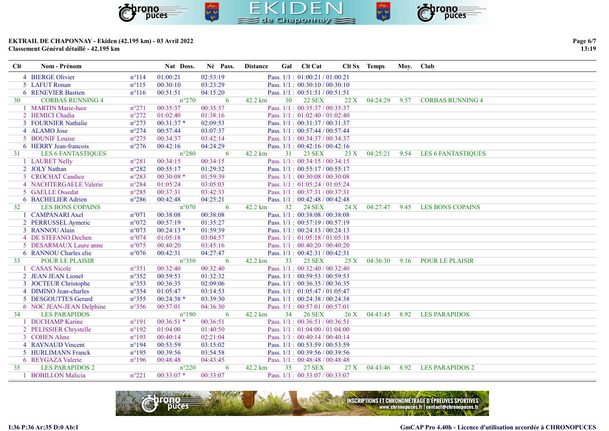

| Page 6/7 |
|----------|
| 13:19    |

| Clt | Nom - Prénom              |                | Nat Doss.      | Né Pass. | <b>Distance</b> |                 | Gal Clt Cat                         |     | Clt Sx Temps  | Moy. Club |                           |
|-----|---------------------------|----------------|----------------|----------|-----------------|-----------------|-------------------------------------|-----|---------------|-----------|---------------------------|
|     | 4 BIERGE Olivier          | $n^{\circ}114$ | 01:00:21       | 02:53:19 |                 |                 | Pass. $1/1$ : $01:00:21 / 01:00:21$ |     |               |           |                           |
|     | 5 LAFUT Ronan             | $n^{\circ}115$ | 00:30:10       | 03:23:29 |                 |                 | Pass. 1/1: 00:30:10 / 00:30:10      |     |               |           |                           |
|     | 6 RENEVIER Bastien        | $n^{\circ}116$ | 00:51:51       | 04:15:20 |                 |                 | Pass. $1/1$ : $00:51:51 / 00:51:51$ |     |               |           |                           |
| 30  | <b>CORBAS RUNNING 4</b>   |                | $n^{\circ}270$ | 6        | 42.2 km         | 30 <sup>°</sup> | <b>22 SEX</b>                       | 22X | 04:24:29      | 9.57      | <b>CORBAS RUNNING 4</b>   |
|     | 1 MARTIN Marie-luce       | $n^{\circ}271$ | 00:35:37       | 00:35:37 |                 |                 | Pass. 1/1: 00:35:37 / 00:35:37      |     |               |           |                           |
|     | 2 HEMICI Chadia           | $n^{\circ}272$ | 01:02:40       | 01:38:16 |                 |                 | Pass. 1/1: 01:02:40 / 01:02:40      |     |               |           |                           |
|     | 3 FOURNIER Nathalie       | $n^{\circ}273$ | $00:31:37*$    | 02:09:53 |                 |                 | Pass. 1/1: 00:31:37 / 00:31:37      |     |               |           |                           |
|     | 4 ALAMO Jose              | $n^{\circ}274$ | 00:57:44       | 03:07:37 |                 |                 | Pass. $1/1$ : 00:57:44 / 00:57:44   |     |               |           |                           |
|     | 5 BOUNIF Louise           | $n^{\circ}275$ | 00:34:37       | 03:42:14 |                 |                 | Pass. 1/1: 00:34:37 / 00:34:37      |     |               |           |                           |
|     | 6 HERRY Jean-francois     | $n^{\circ}276$ | 00:42:16       | 04:24:29 |                 |                 | Pass. 1/1: 00:42:16 / 00:42:16      |     |               |           |                           |
| 31  | <b>LES 6 FANTASTIQUES</b> |                | $n^{\circ}280$ | 6        | 42.2 km         | 31              | <b>23 SEX</b>                       | 23X | 04:25:21      | 9.54      | <b>LES 6 FANTASTIQUES</b> |
|     | 1 LAURET Nelly            | $n^{\circ}281$ | 00:34:15       | 00:34:15 |                 |                 | Pass. 1/1: 00:34:15 / 00:34:15      |     |               |           |                           |
|     | 2 JOLY Nathan             | $n^{\circ}282$ | 00:55:17       | 01:29:32 |                 |                 | Pass. $1/1$ : $00:55:17 / 00:55:17$ |     |               |           |                           |
|     | 3 CROCHAT Candice         | $n^{\circ}283$ | $00:30:08*$    | 01:59:39 |                 |                 | Pass. 1/1: 00:30:08 / 00:30:08      |     |               |           |                           |
|     | 4 NACHTERGAELE Valerie    | $n^{\circ}284$ | 01:05:24       | 03:05:03 |                 |                 | Pass. 1/1: 01:05:24 / 01:05:24      |     |               |           |                           |
|     | 5 GAELLE Ossedat          | $n^{\circ}285$ | 00:37:31       | 03:42:33 |                 |                 | Pass. 1/1: 00:37:31 / 00:37:31      |     |               |           |                           |
|     | 6 BACHELIER Adrien        | $n^{\circ}286$ | 00:42:48       | 04:25:21 |                 |                 | Pass. 1/1: 00:42:48 / 00:42:48      |     |               |           |                           |
| 32  | <b>LES BONS COPAINS</b>   |                | $n^{\circ}070$ | -6       | 42.2 km         | 32 <sup>°</sup> | <b>24 SEX</b>                       | 24X | 04:27:47 9.45 |           | <b>LES BONS COPAINS</b>   |
|     | 1 CAMPANARI Axel          | $n^{\circ}071$ | 00:38:08       | 00:38:08 |                 |                 | Pass. 1/1: 00:38:08 / 00:38:08      |     |               |           |                           |
|     | 2 PERRUSSEL Aymeric       | $n^{\circ}072$ | 00:57:19       | 01:35:27 |                 |                 | Pass. $1/1: 00:57:19 / 00:57:19$    |     |               |           |                           |
|     | 3 RANNOU Alain            | $n^{\circ}073$ | $00:24:13*$    | 01:59:39 |                 |                 | Pass. 1/1: 00:24:13 / 00:24:13      |     |               |           |                           |
|     | 4 DE STEFANO Dechen       | $n^{\circ}074$ | 01:05:18       | 03:04:57 |                 |                 | Pass. $1/1$ : $01:05:18/01:05:18$   |     |               |           |                           |
|     | 5 DESARMAUX Laure anne    | $n^{\circ}075$ | 00:40:20       | 03:45:16 |                 |                 | Pass. 1/1: 00:40:20 / 00:40:20      |     |               |           |                           |
|     | 6 RANNOU Charles elie     | $n^{\circ}076$ | 00:42:31       | 04:27:47 |                 |                 | Pass. 1/1: 00:42:31 / 00:42:31      |     |               |           |                           |
| 33  | <b>POUR LE PLAISIR</b>    |                | $n^{\circ}350$ | 6        | 42.2 km         | 33              | <b>25 SEX</b>                       | 25X | 04:36:30      | 9.16      | <b>POUR LE PLAISIR</b>    |
|     | 1 CASAS Nicole            | $n^{\circ}351$ | 00:32:40       | 00:32:40 |                 |                 | Pass. 1/1: 00:32:40 / 00:32:40      |     |               |           |                           |
|     | 2 JEAN JEAN Lionel        | $n^{\circ}352$ | 00:59:53       | 01:32:32 |                 |                 | Pass. 1/1: 00:59:53 / 00:59:53      |     |               |           |                           |
|     | 3 JOCTEUR Christophe      | $n^{\circ}353$ | 00:36:35       | 02:09:06 |                 |                 | Pass. 1/1: 00:36:35 / 00:36:35      |     |               |           |                           |
|     | 4 DIMINO Jean-charles     | $n^{\circ}354$ | 01:05:47       | 03:14:53 |                 |                 | Pass. $1/1$ : $01:05:47 / 01:05:47$ |     |               |           |                           |
|     | 5 DESGOUTTES Gerard       | $n^{\circ}355$ | $00:24:38*$    | 03:39:30 |                 |                 | Pass. 1/1: 00:24:38 / 00:24:38      |     |               |           |                           |
|     | 6 NOC JEAN-JEAN Delphine  | $n^{\circ}356$ | 00:57:01       | 04:36:30 |                 |                 | Pass. 1/1: 00:57:01 / 00:57:01      |     |               |           |                           |
| 34  | <b>LES PARAPIDOS</b>      |                | $n^{\circ}190$ | 6        | 42.2 km         | 34              | <b>26 SEX</b>                       | 26X | 04:43:45      | 8.92      | <b>LES PARAPIDOS</b>      |
|     | 1 DUCHAMP Karine          | $n^{\circ}191$ | $00:36:51*$    | 00:36:51 |                 |                 | Pass. 1/1: 00:36:51 / 00:36:51      |     |               |           |                           |
|     | 2 PELISSIER Chrystelle    | $n^{\circ}192$ | 01:04:00       | 01:40:50 |                 |                 | Pass. $1/1$ : $01:04:00 / 01:04:00$ |     |               |           |                           |
|     | 3 COHEN Aline             | $n^{\circ}193$ | 00:40:14       | 02:21:04 |                 |                 | Pass. 1/1: 00:40:14 / 00:40:14      |     |               |           |                           |
|     | 4 RAYNAUD Vincent         | $n^{\circ}194$ | 00:53:59       | 03:15:02 |                 |                 | Pass. $1/1$ : 00:53:59 / 00:53:59   |     |               |           |                           |
|     | 5 HURLIMANN Franck        | $n^{\circ}195$ | 00:39:56       | 03:54:58 |                 |                 | Pass. $1/1$ : 00:39:56 / 00:39:56   |     |               |           |                           |
|     | 6 REYGAZA Valerie         | $n^{\circ}196$ | 00:48:48       | 04:43:45 |                 |                 | Pass. 1/1: 00:48:48 / 00:48:48      |     |               |           |                           |
| 35  | <b>LES PARAPIDOS 2</b>    |                | $n^{\circ}220$ | 6        | 42.2 km         | 35              | <b>27 SEX</b>                       | 27X | 04:43:46      | 8.92      | <b>LES PARAPIDOS 2</b>    |
|     | 1 BOBILLON Malicia        | $n^{\circ}221$ | $00:33:07*$    | 00:33:07 |                 |                 | Pass. 1/1: 00:33:07 / 00:33:07      |     |               |           |                           |